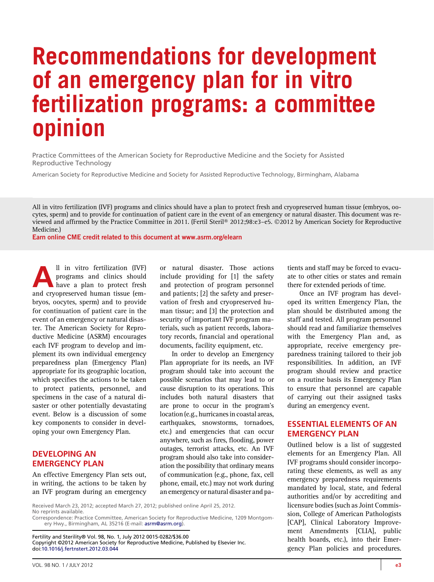# Recommendations for development of an emergency plan for in vitro fertilization programs: a committee opinion

Practice Committees of the American Society for Reproductive Medicine and the Society for Assisted Reproductive Technology

American Society for Reproductive Medicine and Society for Assisted Reproductive Technology, Birmingham, Alabama

All in vitro fertilization (IVF) programs and clinics should have a plan to protect fresh and cryopreserved human tissue (embryos, oocytes, sperm) and to provide for continuation of patient care in the event of an emergency or natural disaster. This document was reviewed and affirmed by the Practice Committee in 2011. (Fertil Steril® 2012;98:e3-e5. ©2012 by American Society for Reproductive Medicine.)

Earn online CME credit related to this document at [www.asrm.org/elearn](http://www.asrm.org/elearn)

Il in vitro fertilization (IVF)<br>programs and clinics should<br>have a plan to protect fresh programs and clinics should have a plan to protect fresh and cryopreserved human tissue (embryos, oocytes, sperm) and to provide for continuation of patient care in the event of an emergency or natural disaster. The American Society for Reproductive Medicine (ASRM) encourages each IVF program to develop and implement its own individual emergency preparedness plan (Emergency Plan) appropriate for its geographic location, which specifies the actions to be taken to protect patients, personnel, and specimens in the case of a natural disaster or other potentially devastating event. Below is a discussion of some key components to consider in developing your own Emergency Plan.

## DEVELOPING AN EMERGENCY PLAN

An effective Emergency Plan sets out, in writing, the actions to be taken by an IVF program during an emergency

or natural disaster. Those actions include providing for [1] the safety and protection of program personnel and patients; [2] the safety and preservation of fresh and cryopreserved human tissue; and [3] the protection and security of important IVF program materials, such as patient records, laboratory records, financial and operational documents, facility equipment, etc.

In order to develop an Emergency Plan appropriate for its needs, an IVF program should take into account the possible scenarios that may lead to or cause disruption to its operations. This includes both natural disasters that are prone to occur in the program's location (e.g., hurricanes in coastal areas, earthquakes, snowstorms, tornadoes, etc.) and emergencies that can occur anywhere, such as fires, flooding, power outages, terrorist attacks, etc. An IVF program should also take into consideration the possibility that ordinary means of communication (e.g., phone, fax, cell phone, email, etc.) may not work during an emergency or natural disaster and patients and staff may be forced to evacuate to other cities or states and remain there for extended periods of time.

Once an IVF program has developed its written Emergency Plan, the plan should be distributed among the staff and tested. All program personnel should read and familiarize themselves with the Emergency Plan and, as appropriate, receive emergency preparedness training tailored to their job responsibilities. In addition, an IVF program should review and practice on a routine basis its Emergency Plan to ensure that personnel are capable of carrying out their assigned tasks during an emergency event.

## ESSENTIAL ELEMENTS OF AN EMERGENCY PLAN

Outlined below is a list of suggested elements for an Emergency Plan. All IVF programs should consider incorporating these elements, as well as any emergency preparedness requirements mandated by local, state, and federal authorities and/or by accrediting and licensure bodies (such as Joint Commission, College of American Pathologists [CAP], Clinical Laboratory Improvement Amendments [CLIA], public health boards, etc.), into their Emergency Plan policies and procedures.

Correspondence: Practice Committee, American Society for Reproductive Medicine, 1209 Montgomery Hwy., Birmingham, AL 35216 (E-mail: [asrm@asrm.org](mailto:asrm@asrm.org)).

Fertility and Sterility® Vol. 98, No. 1, July 2012 0015-0282/\$36.00 Copyright ©2012 American Society for Reproductive Medicine, Published by Elsevier Inc. doi[:10.1016/j.fertnstert.2012.03.044](http://dx.doi.org/10.1016/j.fertnstert.2012.03.044)

Received March 23, 2012; accepted March 27, 2012; published online April 25, 2012. No reprints available.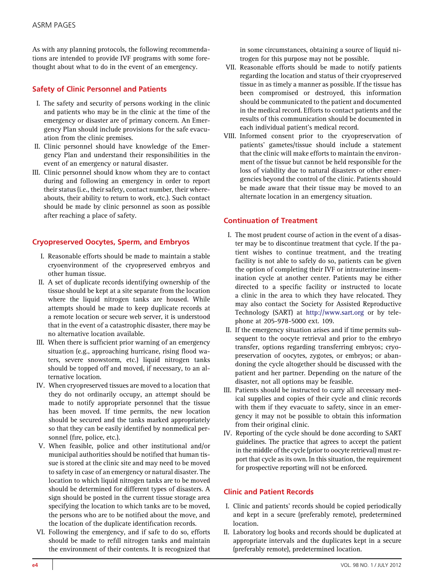As with any planning protocols, the following recommendations are intended to provide IVF programs with some forethought about what to do in the event of an emergency.

### Safety of Clinic Personnel and Patients

- I. The safety and security of persons working in the clinic and patients who may be in the clinic at the time of the emergency or disaster are of primary concern. An Emergency Plan should include provisions for the safe evacuation from the clinic premises.
- II. Clinic personnel should have knowledge of the Emergency Plan and understand their responsibilities in the event of an emergency or natural disaster.
- III. Clinic personnel should know whom they are to contact during and following an emergency in order to report their status (i.e., their safety, contact number, their whereabouts, their ability to return to work, etc.). Such contact should be made by clinic personnel as soon as possible after reaching a place of safety.

## Cryopreserved Oocytes, Sperm, and Embryos

- I. Reasonable efforts should be made to maintain a stable cryoenvironment of the cryopreserved embryos and other human tissue.
- II. A set of duplicate records identifying ownership of the tissue should be kept at a site separate from the location where the liquid nitrogen tanks are housed. While attempts should be made to keep duplicate records at a remote location or secure web server, it is understood that in the event of a catastrophic disaster, there may be no alternative location available.
- III. When there is sufficient prior warning of an emergency situation (e.g., approaching hurricane, rising flood waters, severe snowstorm, etc.) liquid nitrogen tanks should be topped off and moved, if necessary, to an alternative location.
- IV. When cryopreserved tissues are moved to a location that they do not ordinarily occupy, an attempt should be made to notify appropriate personnel that the tissue has been moved. If time permits, the new location should be secured and the tanks marked appropriately so that they can be easily identified by nonmedical personnel (fire, police, etc.).
- V. When feasible, police and other institutional and/or municipal authorities should be notified that human tissue is stored at the clinic site and may need to be moved to safety in case of an emergency or natural disaster. The location to which liquid nitrogen tanks are to be moved should be determined for different types of disasters. A sign should be posted in the current tissue storage area specifying the location to which tanks are to be moved, the persons who are to be notified about the move, and the location of the duplicate identification records.
- VI. Following the emergency, and if safe to do so, efforts should be made to refill nitrogen tanks and maintain the environment of their contents. It is recognized that

in some circumstances, obtaining a source of liquid nitrogen for this purpose may not be possible.

- VII. Reasonable efforts should be made to notify patients regarding the location and status of their cryopreserved tissue in as timely a manner as possible. If the tissue has been compromised or destroyed, this information should be communicated to the patient and documented in the medical record. Efforts to contact patients and the results of this communication should be documented in each individual patient's medical record.
- VIII. Informed consent prior to the cryopreservation of patients' gametes/tissue should include a statement that the clinic will make efforts to maintain the environment of the tissue but cannot be held responsible for the loss of viability due to natural disasters or other emergencies beyond the control of the clinic. Patients should be made aware that their tissue may be moved to an alternate location in an emergency situation.

## Continuation of Treatment

- I. The most prudent course of action in the event of a disaster may be to discontinue treatment that cycle. If the patient wishes to continue treatment, and the treating facility is not able to safely do so, patients can be given the option of completing their IVF or intrauterine insemination cycle at another center. Patients may be either directed to a specific facility or instructed to locate a clinic in the area to which they have relocated. They may also contact the Society for Assisted Reproductive Technology (SART) at <http://www.sart.org> or by telephone at 205-978-5000 ext. 109.
- II. If the emergency situation arises and if time permits subsequent to the oocyte retrieval and prior to the embryo transfer, options regarding transferring embryos; cryopreservation of oocytes, zygotes, or embryos; or abandoning the cycle altogether should be discussed with the patient and her partner. Depending on the nature of the disaster, not all options may be feasible.
- III. Patients should be instructed to carry all necessary medical supplies and copies of their cycle and clinic records with them if they evacuate to safety, since in an emergency it may not be possible to obtain this information from their original clinic.
- IV. Reporting of the cycle should be done according to SART guidelines. The practice that agrees to accept the patient in the middle of the cycle (prior to oocyte retrieval) must report that cycle as its own. In this situation, the requirement for prospective reporting will not be enforced.

### Clinic and Patient Records

- I. Clinic and patients' records should be copied periodically and kept in a secure (preferably remote), predetermined location.
- II. Laboratory log books and records should be duplicated at appropriate intervals and the duplicates kept in a secure (preferably remote), predetermined location.